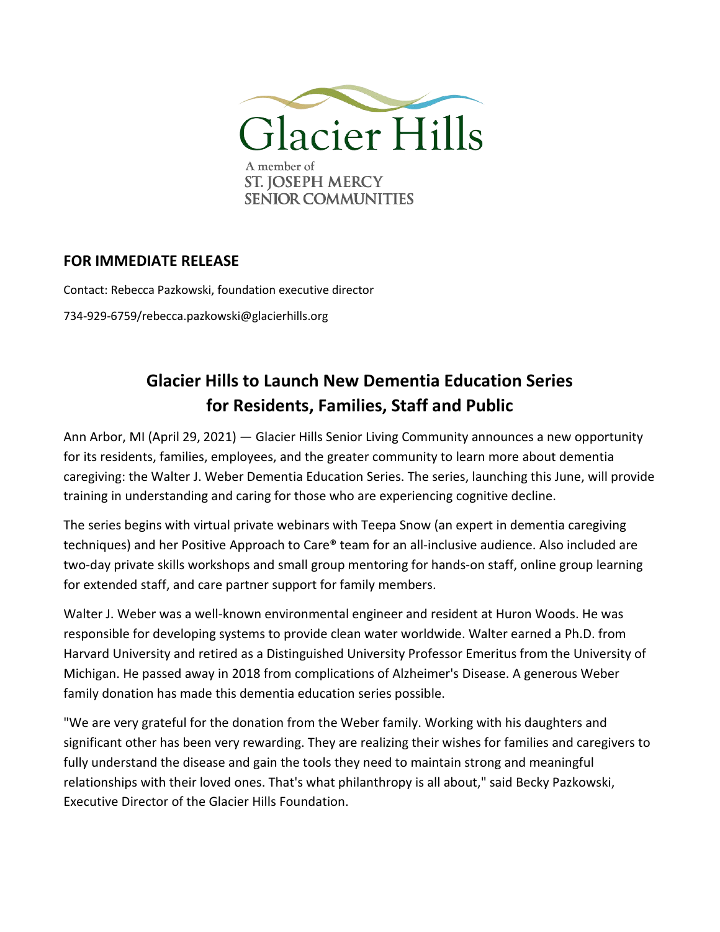

## **FOR IMMEDIATE RELEASE**

Contact: Rebecca Pazkowski, foundation executive director 734-929-6759/rebecca.pazkowski@glacierhills.org

## **Glacier Hills to Launch New Dementia Education Series for Residents, Families, Staff and Public**

Ann Arbor, MI (April 29, 2021) — Glacier Hills Senior Living Community announces a new opportunity for its residents, families, employees, and the greater community to learn more about dementia caregiving: the Walter J. Weber Dementia Education Series. The series, launching this June, will provide training in understanding and caring for those who are experiencing cognitive decline.

The series begins with virtual private webinars with Teepa Snow (an expert in dementia caregiving techniques) and her Positive Approach to Care® team for an all-inclusive audience. Also included are two-day private skills workshops and small group mentoring for hands-on staff, online group learning for extended staff, and care partner support for family members.

Walter J. Weber was a well-known environmental engineer and resident at Huron Woods. He was responsible for developing systems to provide clean water worldwide. Walter earned a Ph.D. from Harvard University and retired as a Distinguished University Professor Emeritus from the University of Michigan. He passed away in 2018 from complications of Alzheimer's Disease. A generous Weber family donation has made this dementia education series possible.

"We are very grateful for the donation from the Weber family. Working with his daughters and significant other has been very rewarding. They are realizing their wishes for families and caregivers to fully understand the disease and gain the tools they need to maintain strong and meaningful relationships with their loved ones. That's what philanthropy is all about," said Becky Pazkowski, Executive Director of the Glacier Hills Foundation.